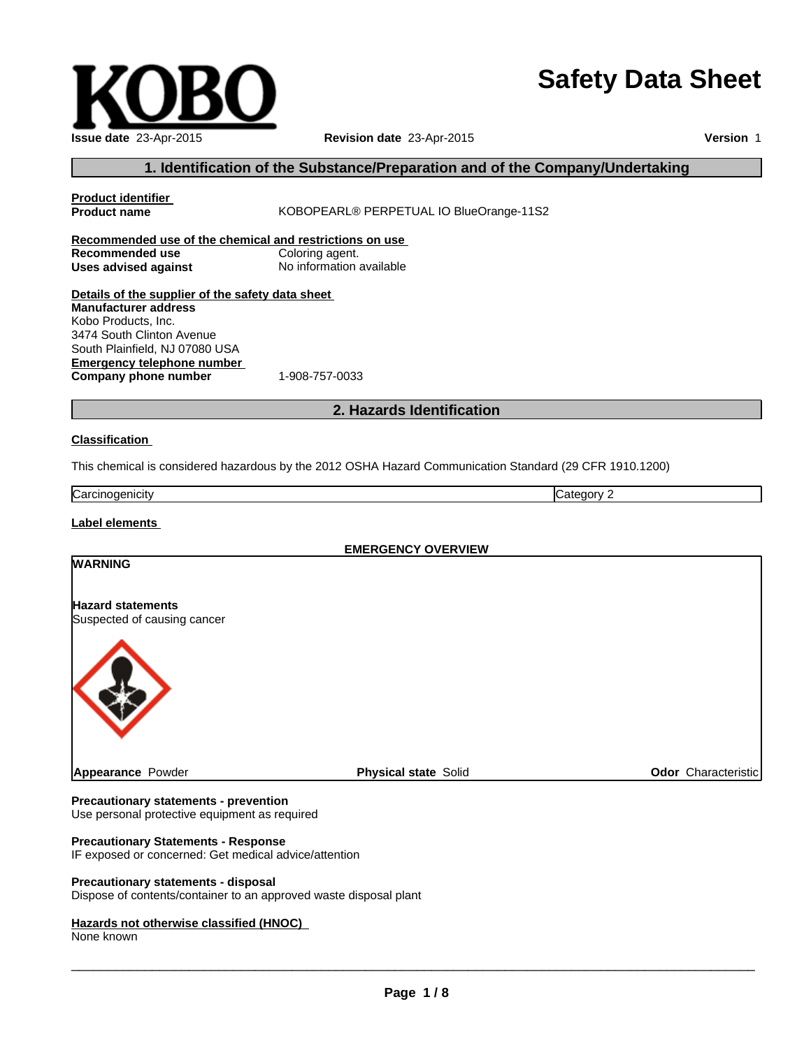# **Safety Data Sheet**

| Issue date 23-Apr-2015 |
|------------------------|

**Revision date** 23-Apr-2015

**Version** 1

# **1. Identification of the Substance/Preparation and of the Company/Undertaking**

| <b>Product identifier</b><br><b>Product name</b>                                                                                                                                                                                   | KOBOPEARL® PERPETUAL IO BlueOrange-11S2                                                                 |                     |
|------------------------------------------------------------------------------------------------------------------------------------------------------------------------------------------------------------------------------------|---------------------------------------------------------------------------------------------------------|---------------------|
| Recommended use of the chemical and restrictions on use<br><b>Recommended use</b><br><b>Uses advised against</b>                                                                                                                   | Coloring agent.<br>No information available                                                             |                     |
| Details of the supplier of the safety data sheet<br><b>Manufacturer address</b><br>Kobo Products, Inc.<br>3474 South Clinton Avenue<br>South Plainfield, NJ 07080 USA<br><b>Emergency telephone number</b><br>Company phone number | 1-908-757-0033                                                                                          |                     |
|                                                                                                                                                                                                                                    | 2. Hazards Identification                                                                               |                     |
| <b>Classification</b>                                                                                                                                                                                                              |                                                                                                         |                     |
|                                                                                                                                                                                                                                    | This chemical is considered hazardous by the 2012 OSHA Hazard Communication Standard (29 CFR 1910.1200) |                     |
| Carcinogenicity                                                                                                                                                                                                                    |                                                                                                         | Category 2          |
| Label elements                                                                                                                                                                                                                     |                                                                                                         |                     |
|                                                                                                                                                                                                                                    | <b>EMERGENCY OVERVIEW</b>                                                                               |                     |
| <b>WARNING</b>                                                                                                                                                                                                                     |                                                                                                         |                     |
| <b>Hazard statements</b><br>Suspected of causing cancer                                                                                                                                                                            |                                                                                                         |                     |
|                                                                                                                                                                                                                                    |                                                                                                         |                     |
| Appearance Powder                                                                                                                                                                                                                  | <b>Physical state Solid</b>                                                                             | Odor Characteristic |

## **Precautionary statements - prevention**

Use personal protective equipment as required

## **Precautionary Statements - Response**

IF exposed or concerned: Get medical advice/attention

#### **Precautionary statements - disposal**

Dispose of contents/container to an approved waste disposal plant

#### **Hazards not otherwise classified (HNOC)**

None known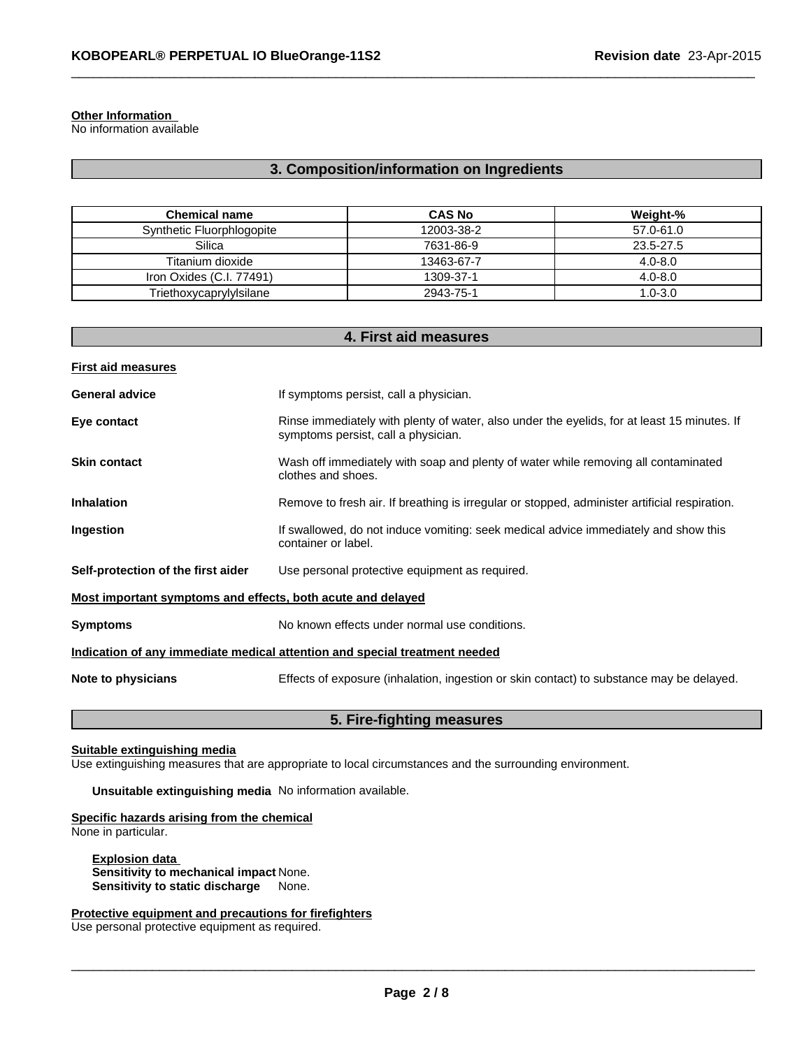# **Other Information**

No information available

# **3. Composition/information on Ingredients**

 $\_$  , and the set of the set of the set of the set of the set of the set of the set of the set of the set of the set of the set of the set of the set of the set of the set of the set of the set of the set of the set of th

| <b>Chemical name</b>      | <b>CAS No</b> | Weight-%    |
|---------------------------|---------------|-------------|
| Synthetic Fluorphlogopite | 12003-38-2    | 57.0-61.0   |
| Silica                    | 7631-86-9     | 23.5-27.5   |
| Titanium dioxide          | 13463-67-7    | $4.0 - 8.0$ |
| Iron Oxides (C.I. 77491)  | 1309-37-1     | $4.0 - 8.0$ |
| Triethoxycaprylylsilane   | 2943-75-1     | $1.0 - 3.0$ |

| 4. First aid measures                                                      |                                                                                                                                    |  |  |
|----------------------------------------------------------------------------|------------------------------------------------------------------------------------------------------------------------------------|--|--|
| <b>First aid measures</b>                                                  |                                                                                                                                    |  |  |
| <b>General advice</b>                                                      | If symptoms persist, call a physician.                                                                                             |  |  |
| Eye contact                                                                | Rinse immediately with plenty of water, also under the eyelids, for at least 15 minutes. If<br>symptoms persist, call a physician. |  |  |
| <b>Skin contact</b>                                                        | Wash off immediately with soap and plenty of water while removing all contaminated<br>clothes and shoes.                           |  |  |
| <b>Inhalation</b>                                                          | Remove to fresh air. If breathing is irregular or stopped, administer artificial respiration.                                      |  |  |
| Ingestion                                                                  | If swallowed, do not induce vomiting: seek medical advice immediately and show this<br>container or label.                         |  |  |
| Self-protection of the first aider                                         | Use personal protective equipment as required.                                                                                     |  |  |
| Most important symptoms and effects, both acute and delayed                |                                                                                                                                    |  |  |
| <b>Symptoms</b>                                                            | No known effects under normal use conditions.                                                                                      |  |  |
| Indication of any immediate medical attention and special treatment needed |                                                                                                                                    |  |  |
| Note to physicians                                                         | Effects of exposure (inhalation, ingestion or skin contact) to substance may be delayed.                                           |  |  |

# **5. Fire-fighting measures**

## **Suitable extinguishing media**

Use extinguishing measures that are appropriate to local circumstances and the surrounding environment.

**Unsuitable extinguishing media** No information available.

#### **Specific hazards arising from the chemical** None in particular.

**Explosion data Sensitivity to mechanical impact** None. **Sensitivity to static discharge** None.

## **Protective equipment and precautions for firefighters**

Use personal protective equipment as required.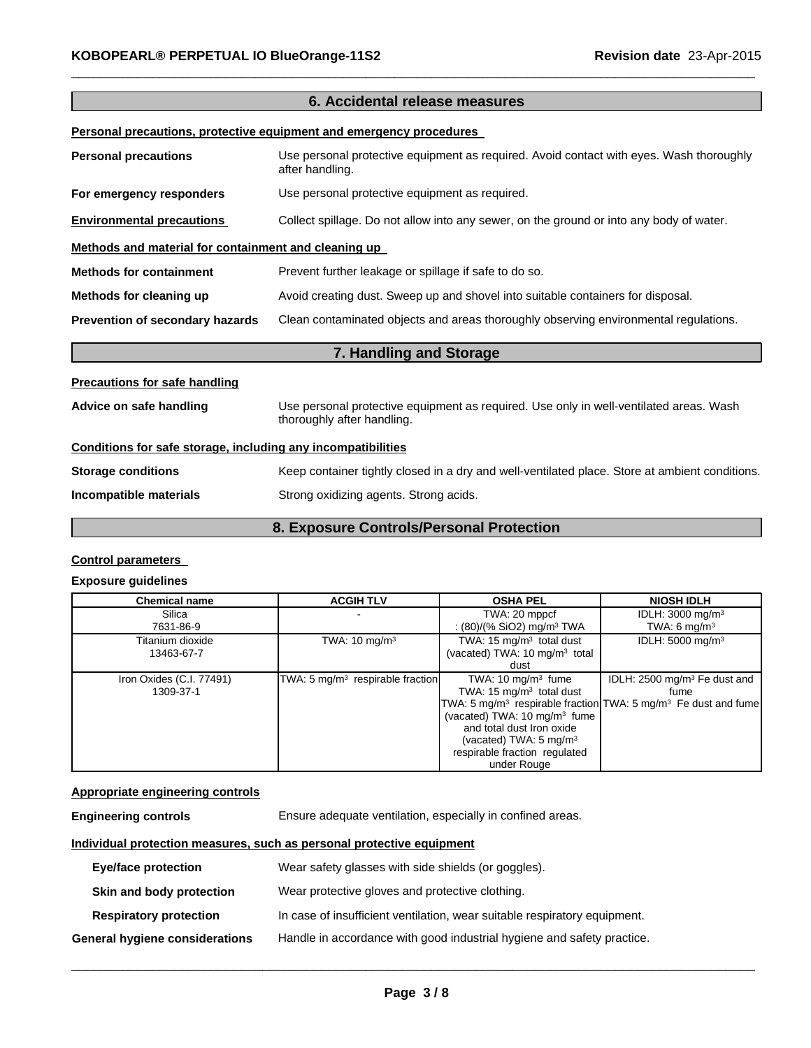|                                                              | 6. Accidental release measures                                                                                       |
|--------------------------------------------------------------|----------------------------------------------------------------------------------------------------------------------|
|                                                              | Personal precautions, protective equipment and emergency procedures                                                  |
| <b>Personal precautions</b>                                  | Use personal protective equipment as required. Avoid contact with eyes. Wash thoroughly<br>after handling.           |
| For emergency responders                                     | Use personal protective equipment as required.                                                                       |
| <b>Environmental precautions</b>                             | Collect spillage. Do not allow into any sewer, on the ground or into any body of water.                              |
| Methods and material for containment and cleaning up         |                                                                                                                      |
| <b>Methods for containment</b>                               | Prevent further leakage or spillage if safe to do so.                                                                |
| Methods for cleaning up                                      | Avoid creating dust. Sweep up and shovel into suitable containers for disposal.                                      |
| Prevention of secondary hazards                              | Clean contaminated objects and areas thoroughly observing environmental regulations.                                 |
|                                                              | 7. Handling and Storage                                                                                              |
| <b>Precautions for safe handling</b>                         |                                                                                                                      |
| Advice on safe handling                                      | Use personal protective equipment as required. Use only in well-ventilated areas. Wash<br>thoroughly after handling. |
| Conditions for safe storage, including any incompatibilities |                                                                                                                      |
| <b>Storage conditions</b>                                    | Keep container tightly closed in a dry and well-ventilated place. Store at ambient conditions.                       |
| Incompatible materials                                       | Strong oxidizing agents. Strong acids.                                                                               |

 $\_$  , and the set of the set of the set of the set of the set of the set of the set of the set of the set of the set of the set of the set of the set of the set of the set of the set of the set of the set of the set of th

# **8. Exposure Controls/Personal Protection**

## **Control parameters**

### **Exposure guidelines**

| <b>Chemical name</b>                  | <b>ACGIH TLV</b>                             | <b>OSHA PEL</b>                                                                                                                                                                                                           | <b>NIOSH IDLH</b>                                                                                                                         |
|---------------------------------------|----------------------------------------------|---------------------------------------------------------------------------------------------------------------------------------------------------------------------------------------------------------------------------|-------------------------------------------------------------------------------------------------------------------------------------------|
| Silica<br>7631-86-9                   |                                              | TWA: 20 mppcf<br>: (80)/(% SiO2) mg/m <sup>3</sup> TWA                                                                                                                                                                    | IDLH: $3000 \text{ mg/m}^3$<br>TWA: 6 $mq/m3$                                                                                             |
| Titanium dioxide<br>13463-67-7        | TWA: $10 \text{ mg/m}^3$                     | TWA: $15 \text{ mg/m}^3$ total dust<br>(vacated) TWA: 10 mg/m <sup>3</sup> total<br>dust                                                                                                                                  | IDLH: 5000 mg/m <sup>3</sup>                                                                                                              |
| Iron Oxides (C.I. 77491)<br>1309-37-1 | TWA: 5 mg/m <sup>3</sup> respirable fraction | TWA: $10 \text{ mg/m}^3$ fume<br>TWA: 15 $mg/m3$ total dust<br>(vacated) TWA: 10 mg/m <sup>3</sup> fume<br>and total dust Iron oxide<br>(vacated) TWA: $5 \text{ mg/m}^3$<br>respirable fraction regulated<br>under Rouge | IDLH: $2500 \text{ mg/m}^3$ Fe dust and<br>fume<br>TWA: 5 mg/m <sup>3</sup> respirable fraction TWA: 5 mg/m <sup>3</sup> Fe dust and fume |

# **Appropriate engineering controls**

| <b>Engineering controls</b> | Ensure adequate ventilation, especially in confined areas. |
|-----------------------------|------------------------------------------------------------|
|                             |                                                            |

# **Individual protection measures, such as personal protective equipment**

| <b>Eye/face protection</b>     | Wear safety glasses with side shields (or goggles).                       |
|--------------------------------|---------------------------------------------------------------------------|
| Skin and body protection       | Wear protective gloves and protective clothing.                           |
| <b>Respiratory protection</b>  | In case of insufficient ventilation, wear suitable respiratory equipment. |
| General hygiene considerations | Handle in accordance with good industrial hygiene and safety practice.    |

 $\_$  ,  $\_$  ,  $\_$  ,  $\_$  ,  $\_$  ,  $\_$  ,  $\_$  ,  $\_$  ,  $\_$  ,  $\_$  ,  $\_$  ,  $\_$  ,  $\_$  ,  $\_$  ,  $\_$  ,  $\_$  ,  $\_$  ,  $\_$  ,  $\_$  ,  $\_$  ,  $\_$  ,  $\_$  ,  $\_$  ,  $\_$  ,  $\_$  ,  $\_$  ,  $\_$  ,  $\_$  ,  $\_$  ,  $\_$  ,  $\_$  ,  $\_$  ,  $\_$  ,  $\_$  ,  $\_$  ,  $\_$  ,  $\_$  ,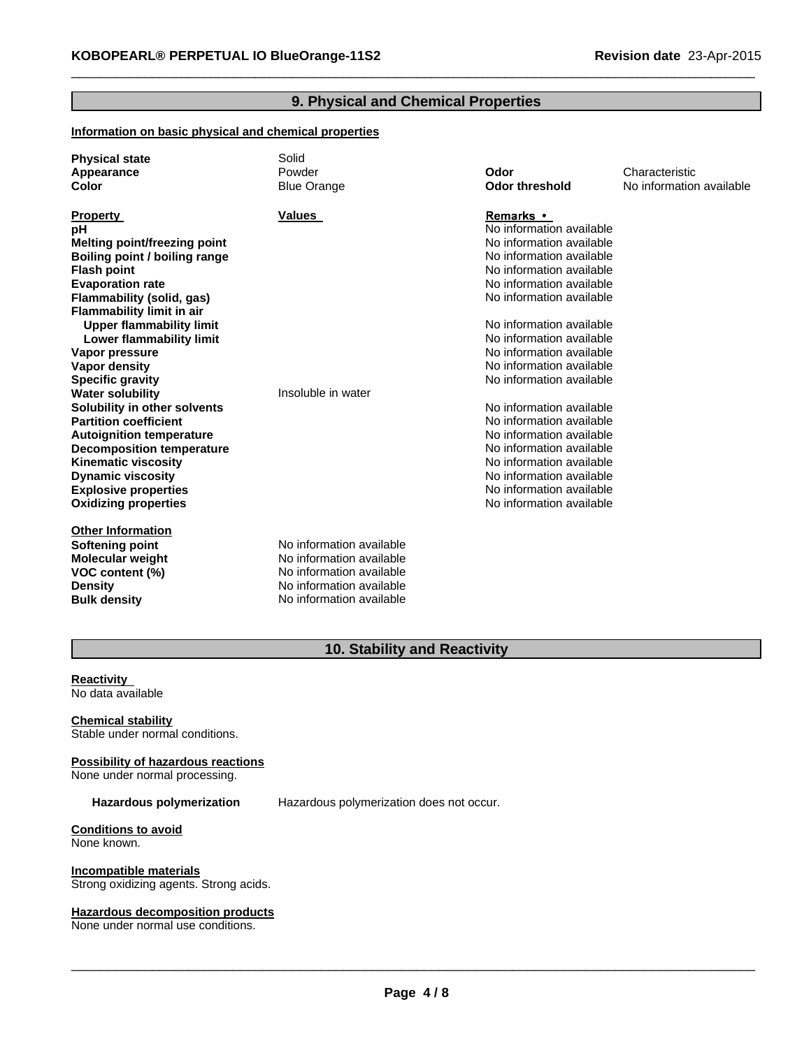# **9. Physical and Chemical Properties**

 $\_$  , and the set of the set of the set of the set of the set of the set of the set of the set of the set of the set of the set of the set of the set of the set of the set of the set of the set of the set of the set of th

#### **Information on basic physical and chemical properties**

| <b>Physical state</b><br>Appearance<br><b>Color</b>                                                                                                                                                                                                                                                                                                                                                                                                                                                                                                                                                                                           | Solid<br>Powder<br><b>Blue Orange</b>                                                                                                    | Odor<br><b>Odor threshold</b>                                                                                                                                                                                                                                                                                                                                                                                                                                                                                                                                 | Characteristic<br>No information available |
|-----------------------------------------------------------------------------------------------------------------------------------------------------------------------------------------------------------------------------------------------------------------------------------------------------------------------------------------------------------------------------------------------------------------------------------------------------------------------------------------------------------------------------------------------------------------------------------------------------------------------------------------------|------------------------------------------------------------------------------------------------------------------------------------------|---------------------------------------------------------------------------------------------------------------------------------------------------------------------------------------------------------------------------------------------------------------------------------------------------------------------------------------------------------------------------------------------------------------------------------------------------------------------------------------------------------------------------------------------------------------|--------------------------------------------|
| <b>Property</b><br>рH<br><b>Melting point/freezing point</b><br>Boiling point / boiling range<br><b>Flash point</b><br><b>Evaporation rate</b><br>Flammability (solid, gas)<br><b>Flammability limit in air</b><br><b>Upper flammability limit</b><br>Lower flammability limit<br>Vapor pressure<br><b>Vapor density</b><br><b>Specific gravity</b><br><b>Water solubility</b><br>Solubility in other solvents<br><b>Partition coefficient</b><br><b>Autoignition temperature</b><br><b>Decomposition temperature</b><br><b>Kinematic viscosity</b><br><b>Dynamic viscosity</b><br><b>Explosive properties</b><br><b>Oxidizing properties</b> | <b>Values</b><br>Insoluble in water                                                                                                      | Remarks •<br>No information available<br>No information available<br>No information available<br>No information available<br>No information available<br>No information available<br>No information available<br>No information available<br>No information available<br>No information available<br>No information available<br>No information available<br>No information available<br>No information available<br>No information available<br>No information available<br>No information available<br>No information available<br>No information available |                                            |
| <b>Other Information</b><br>Softening point<br><b>Molecular weight</b><br>VOC content (%)<br><b>Density</b><br><b>Bulk density</b>                                                                                                                                                                                                                                                                                                                                                                                                                                                                                                            | No information available<br>No information available<br>No information available<br>No information available<br>No information available |                                                                                                                                                                                                                                                                                                                                                                                                                                                                                                                                                               |                                            |

# **10. Stability and Reactivity**

#### **Reactivity** No data available

**Chemical stability** Stable under normal conditions.

**Possibility of hazardous reactions** None under normal processing.

**Hazardous polymerization** Hazardous polymerization does not occur.

**Conditions to avoid** None known.

**Incompatible materials** Strong oxidizing agents. Strong acids.

**Hazardous decomposition products**

None under normal use conditions.

 $\_$  ,  $\_$  ,  $\_$  ,  $\_$  ,  $\_$  ,  $\_$  ,  $\_$  ,  $\_$  ,  $\_$  ,  $\_$  ,  $\_$  ,  $\_$  ,  $\_$  ,  $\_$  ,  $\_$  ,  $\_$  ,  $\_$  ,  $\_$  ,  $\_$  ,  $\_$  ,  $\_$  ,  $\_$  ,  $\_$  ,  $\_$  ,  $\_$  ,  $\_$  ,  $\_$  ,  $\_$  ,  $\_$  ,  $\_$  ,  $\_$  ,  $\_$  ,  $\_$  ,  $\_$  ,  $\_$  ,  $\_$  ,  $\_$  ,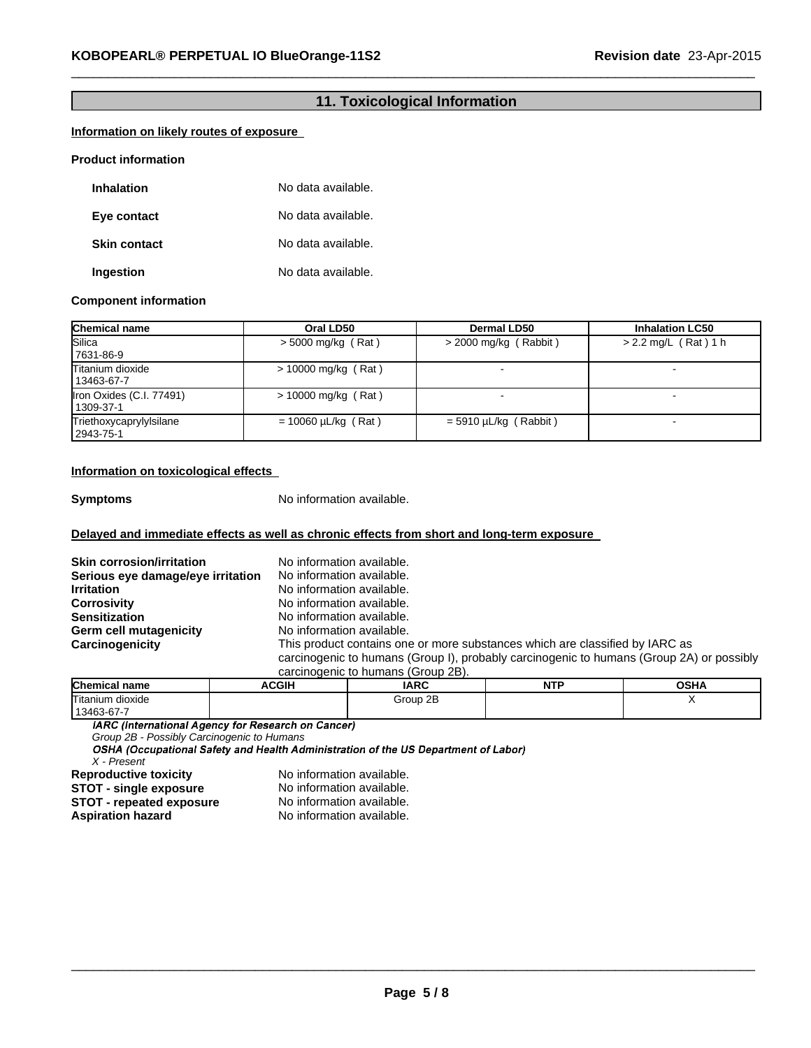# **11. Toxicological Information**

 $\_$  , and the set of the set of the set of the set of the set of the set of the set of the set of the set of the set of the set of the set of the set of the set of the set of the set of the set of the set of the set of th

## **Information on likely routes of exposure**

#### **Product information**

| <b>Inhalation</b>   | No data available. |
|---------------------|--------------------|
| Eye contact         | No data available. |
| <b>Skin contact</b> | No data available. |
| Ingestion           | No data available. |

#### **Component information**

| <b>Chemical name</b>                  | Oral LD50                | Dermal LD50             | <b>Inhalation LC50</b> |
|---------------------------------------|--------------------------|-------------------------|------------------------|
| Silica<br>7631-86-9                   | $>$ 5000 mg/kg (Rat)     | $>$ 2000 mg/kg (Rabbit) | $> 2.2$ mg/L (Rat) 1 h |
| Titanium dioxide<br>13463-67-7        | $> 10000$ mg/kg (Rat)    |                         |                        |
| Iron Oxides (C.I. 77491)<br>1309-37-1 | $> 10000$ mg/kg (Rat)    |                         |                        |
| Triethoxycaprylylsilane<br>2943-75-1  | $= 10060 \mu L/kg$ (Rat) | $=$ 5910 µL/kg (Rabbit) |                        |

#### **Information on toxicological effects**

**Symptoms** No information available.

### **Delayed and immediate effects as well as chronic effects from short and long-term exposure**

| <b>Skin corrosion/irritation</b>  | No information available.                                                                |
|-----------------------------------|------------------------------------------------------------------------------------------|
| Serious eye damage/eye irritation | No information available.                                                                |
| <b>Irritation</b>                 | No information available.                                                                |
| <b>Corrosivity</b>                | No information available.                                                                |
| <b>Sensitization</b>              | No information available.                                                                |
| <b>Germ cell mutagenicity</b>     | No information available.                                                                |
| Carcinogenicity                   | This product contains one or more substances which are classified by IARC as             |
|                                   | carcinogenic to humans (Group I), probably carcinogenic to humans (Group 2A) or possibly |
|                                   | carcinogenic to humans (Group 2B).                                                       |

| <b>Chemical name</b> | <b>\CGIH</b> | <b>IARC</b> | <b>NTP</b> | <b>OSHA</b> |
|----------------------|--------------|-------------|------------|-------------|
| Titanium dioxide     |              | Group 2B    |            |             |
| 13463-67-7           |              |             |            |             |

IARC (International Agency for Research on Cancer)

*Group 2B - Possibly Carcinogenic to Humans X - Present*

**Reproductive toxicity** No information available.<br>**STOT - single exposure** No information available. **STOT** - **single exposure** No information available.<br>**STOT** - repeated exposure No information available. **STOT** - repeated exposure<br>Aspiration hazard

**Aspiration hazard** No information available.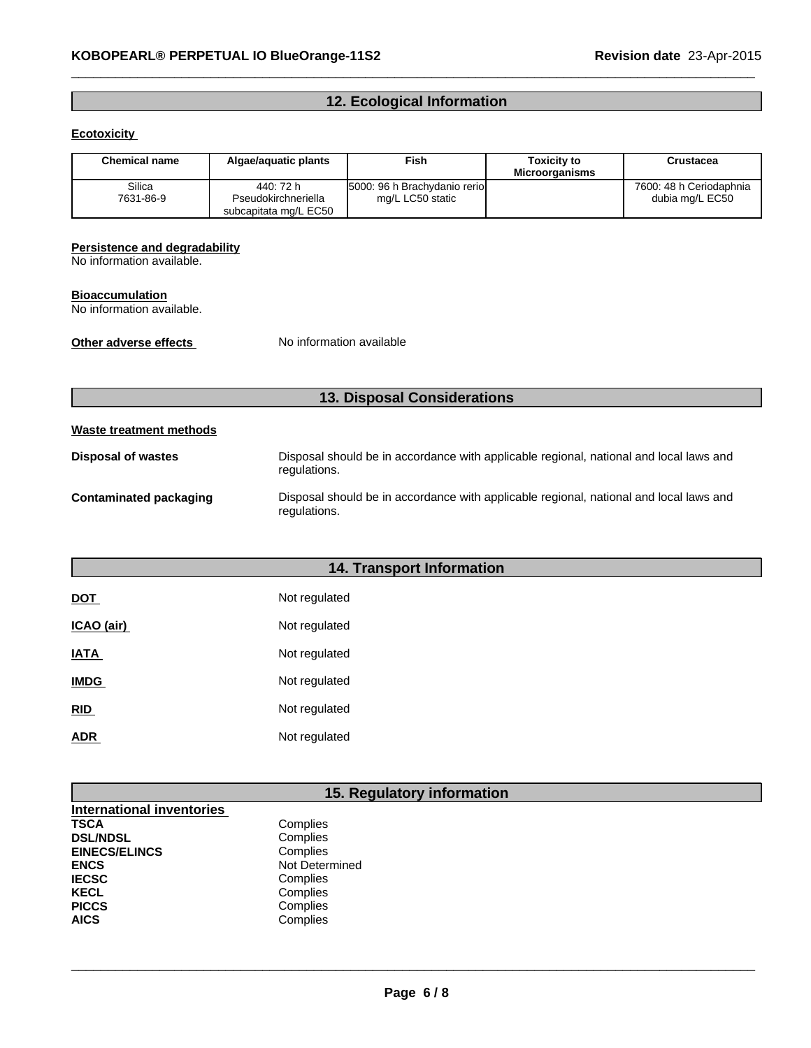# **12. Ecological Information**

 $\_$  , and the set of the set of the set of the set of the set of the set of the set of the set of the set of the set of the set of the set of the set of the set of the set of the set of the set of the set of the set of th

## **Ecotoxicity**

| <b>Chemical name</b> | Algae/aguatic plants                                      | <b>Fish</b>                                      | <b>Toxicity to</b><br><b>Microorganisms</b> | Crustacea                                  |
|----------------------|-----------------------------------------------------------|--------------------------------------------------|---------------------------------------------|--------------------------------------------|
| Silica<br>7631-86-9  | 440: 72 h<br>Pseudokirchneriella<br>subcapitata mg/L EC50 | 5000: 96 h Brachydanio rerio<br>mg/L LC50 static |                                             | 7600: 48 h Ceriodaphnia<br>dubia mg/L EC50 |

#### **Persistence and degradability**

No information available.

#### **Bioaccumulation**

No information available.

**Other adverse effects** No information available

# **13. Disposal Considerations**

# **Waste treatment methods**

| Disposal of wastes     | Disposal should be in accordance with applicable regional, national and local laws and<br>regulations. |
|------------------------|--------------------------------------------------------------------------------------------------------|
| Contaminated packaging | Disposal should be in accordance with applicable regional, national and local laws and<br>regulations. |

# **14. Transport Information**

| <b>DOT</b>  | Not regulated |
|-------------|---------------|
| ICAO (air)  | Not regulated |
| IATA        | Not regulated |
| <b>IMDG</b> | Not regulated |
| <b>RID</b>  | Not regulated |
| ADR         | Not regulated |

# **15. Regulatory information**

| <b>International inventories</b> |                |
|----------------------------------|----------------|
| TSCA                             | Complies       |
| <b>DSL/NDSL</b>                  | Complies       |
| <b>EINECS/ELINCS</b>             | Complies       |
| ENCS                             | Not Determined |
| <b>IECSC</b>                     | Complies       |
| KECL                             | Complies       |
| <b>PICCS</b>                     | Complies       |
| AICS                             | Complies       |

 $\_$  ,  $\_$  ,  $\_$  ,  $\_$  ,  $\_$  ,  $\_$  ,  $\_$  ,  $\_$  ,  $\_$  ,  $\_$  ,  $\_$  ,  $\_$  ,  $\_$  ,  $\_$  ,  $\_$  ,  $\_$  ,  $\_$  ,  $\_$  ,  $\_$  ,  $\_$  ,  $\_$  ,  $\_$  ,  $\_$  ,  $\_$  ,  $\_$  ,  $\_$  ,  $\_$  ,  $\_$  ,  $\_$  ,  $\_$  ,  $\_$  ,  $\_$  ,  $\_$  ,  $\_$  ,  $\_$  ,  $\_$  ,  $\_$  ,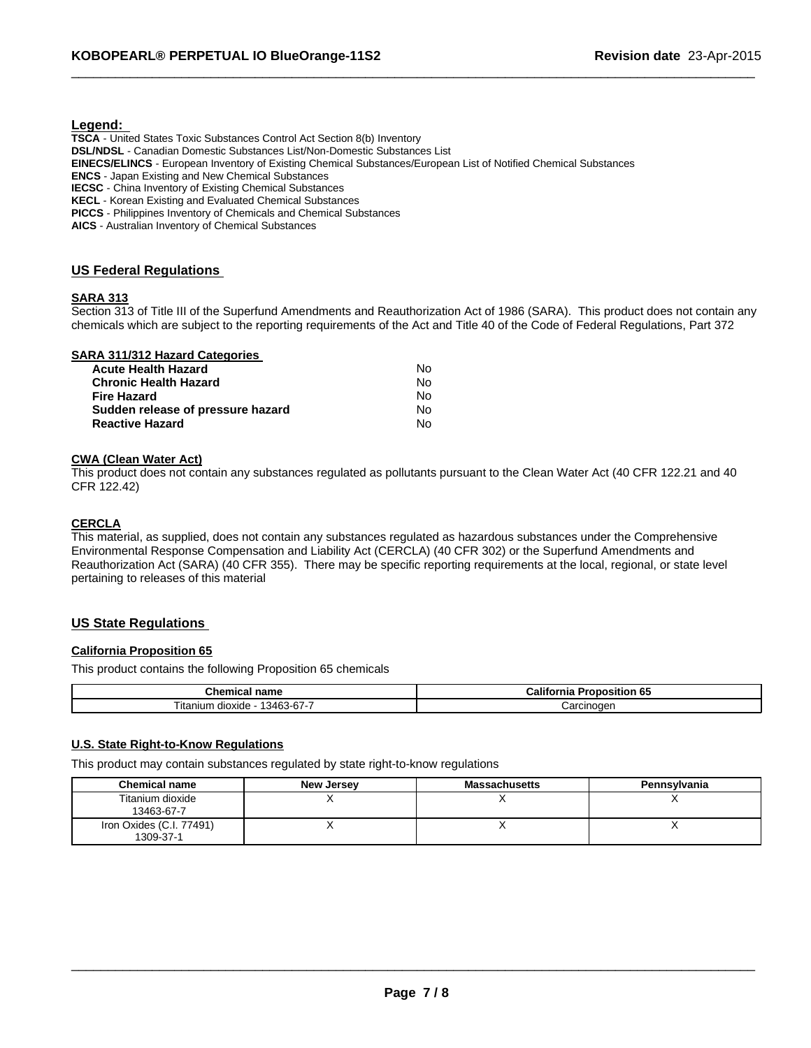#### **Legend:**

**TSCA** - United States Toxic Substances Control Act Section 8(b) Inventory **DSL/NDSL** - Canadian Domestic Substances List/Non-Domestic Substances List **EINECS/ELINCS** - European Inventory of Existing Chemical Substances/European List of Notified Chemical Substances **ENCS** - Japan Existing and New Chemical Substances **IECSC** - China Inventory of Existing Chemical Substances **KECL** - Korean Existing and Evaluated Chemical Substances **PICCS** - Philippines Inventory of Chemicals and Chemical Substances

**AICS** - Australian Inventory of Chemical Substances

### **US Federal Regulations**

### **SARA 313**

Section 313 of Title III of the Superfund Amendments and Reauthorization Act of 1986 (SARA). This product does not contain any chemicals which are subject to the reporting requirements of the Act and Title 40 of the Code of Federal Regulations, Part 372

 $\_$  , and the set of the set of the set of the set of the set of the set of the set of the set of the set of the set of the set of the set of the set of the set of the set of the set of the set of the set of the set of th

|  |  |  |  | SARA 311/312 Hazard Categories |
|--|--|--|--|--------------------------------|
|--|--|--|--|--------------------------------|

| Nο |
|----|
| Nο |
| Nο |
| Nο |
| N٥ |
|    |

#### **CWA (Clean Water Act)**

This product does not contain any substances regulated as pollutants pursuant to the Clean Water Act (40 CFR 122.21 and 40 CFR 122.42)

#### **CERCLA**

This material, as supplied, does not contain any substances regulated as hazardous substances under the Comprehensive Environmental Response Compensation and Liability Act (CERCLA) (40 CFR 302) or the Superfund Amendments and Reauthorization Act (SARA) (40 CFR 355). There may be specific reporting requirements at the local, regional, or state level pertaining to releases of this material

#### **US State Regulations**

#### **California Proposition 65**

This product contains the following Proposition 65 chemicals

| --<br>.<br>.<br>…ner<br>emical<br>name<br>_____ | <br>-65<br>∵alitor<br>osition<br>Шč<br>ov |
|-------------------------------------------------|-------------------------------------------|
| -<br>$\sim$<br>3463-67-<br>l itanium<br>dioxide | :arcınoqer                                |

#### **U.S. State Right-to-Know Regulations**

This product may contain substances regulated by state right-to-know regulations

| <b>Chemical name</b>                  | New Jersey | <b>Massachusetts</b> | <b>Pennsylvania</b> |
|---------------------------------------|------------|----------------------|---------------------|
| Titanium dioxide<br>13463-67-7        |            |                      |                     |
| Iron Oxides (C.I. 77491)<br>1309-37-1 |            | ,,                   |                     |